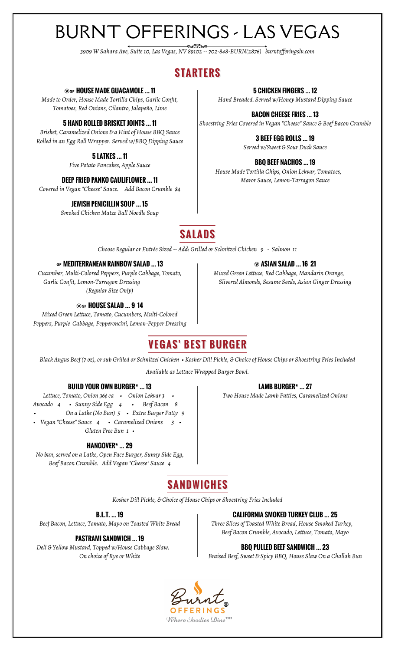# BURNT OFFERINGS - LAS VEGAS

*3909 W Sahara Ave, Suite 10, Las Vegas, NV 89102 -- 702-848-BURN(2876) burntofferingslv.com*

### **S TARTERS**

#### Æ… **HOUSE MADE GUACAMOLE … 11**

*Made to Order, House Made Tortilla Chips, Garlic Confit, Tomatoes, Red Onions, Cilantro, Jalapeño, Lime*

#### **5 HAND ROLLED BRISKET JOINTS … 11**

*Brisket, Caramelized Onions & a Hint of House BBQ Sauce Rolled in an Egg Roll Wrapper. Served w/BBQ Dipping Sauce*

#### **5 LATKES … 11**

*Five Potato Pancakes, Apple Sauce*

#### **DEEP FRIED PANKO CAULIFLOWER … 11**

*Covered in Vegan "Cheese" Sauce. Add Bacon Crumble \$4*

#### **JEWISH PENICILLIN SOUP … 15**

*Smoked Chicken Matzo Ball Noodle Soup*

#### **5 CHICKEN FINGERS … 12**

*Hand Breaded. Served w/Honey Mustard Dipping Sauce*

**BACON CHEESE FRIES … 13** *Shoestring Fries Covered in Vegan "Cheese" Sauce & Beef Bacon Crumble*

> **3 BEEF EGG ROLLS … 19** *Served w/Sweet & Sour Duck Sauce*

#### **BBQ BEEF NACHOS … 19**

Æ **ASIAN SALAD … 16 21**

*House Made Tortilla Chips, Onion Lekvar, Tomatoes, Maror Sauce, Lemon-Tarragon Sauce*

### **SALADS**

*Choose Regular or Entrée Sized -- Add: Grilled or Schnitzel Chicken 9 - Salmon 11*

#### … **MEDITERRANEAN RAINBOW SALAD … 13**

*Cucumber, Multi-Colored Peppers, Purple Cabbage, Tomato, Garlic Confit, Lemon-Tarragon Dressing (Regular Size Only)*

#### Æ… **HOUSE SALAD … 9 14**

*Mixed Green Lettuce, Tomato, Cucumbers, Multi-Colored Peppers, Purple Cabbage, Pepperoncini, Lemon-Pepper Dressing*

### **VEGAS' BEST BURGER**

*Black Angus Beef (7 oz), or sub Grilled or Schnitzel Chicken • Kosher Dill Pickle, & Choice of House Chips or Shoestring Fries Included*

*Available as Lettuce Wrapped Burger Bowl.*

#### **BUILD YOUR OWN BURGER\* … 13**

*Lettuce, Tomato, Onion 36¢ ea • Onion Lekvar 3 • Avocado 4 • Sunny Side Egg 4 • Beef Bacon 8 • On a Latke (No Bun) 5 • Extra Burger Patty 9 • Vegan "Cheese" Sauce 4 • Caramelized Onions 3 • Gluten Free Bun 1 •*

#### **HANGOVER\* … 29**

*No bun, served on a Latke, Open Face Burger, Sunny Side Egg, Beef Bacon Crumble. Add Vegan "Cheese" Sauce 4*

#### **LAMB BURGER\* … 27**

*Two House Made Lamb Patties, Caramelized Onions*



*Kosher Dill Pickle, & Choice of House Chips or Shoestring Fries Included*

#### **B.L.T. … 19**

*Beef Bacon, Lettuce, Tomato, Mayo on Toasted White Bread*

#### **PASTRAMI SANDWICH … 19**

*Deli & Yellow Mustard, Topped w/House Cabbage Slaw. On choice of Rye or White*

**CALIFORNIA SMOKED TURKEY CLUB … 25**

*Three Slices of Toasted White Bread, House Smoked Turkey, Beef Bacon Crumble, Avocado, Lettuce, Tomato, Mayo*

#### **BBQ PULLED BEEF SANDWICH … 23**

*Braised Beef, Sweet & Spicy BBQ, House Slaw On a Challah Bun*



### *Mixed Green Lettuce, Red Cabbage, Mandarin Orange, Slivered Almonds, Sesame Seeds, Asian Ginger Dressing*